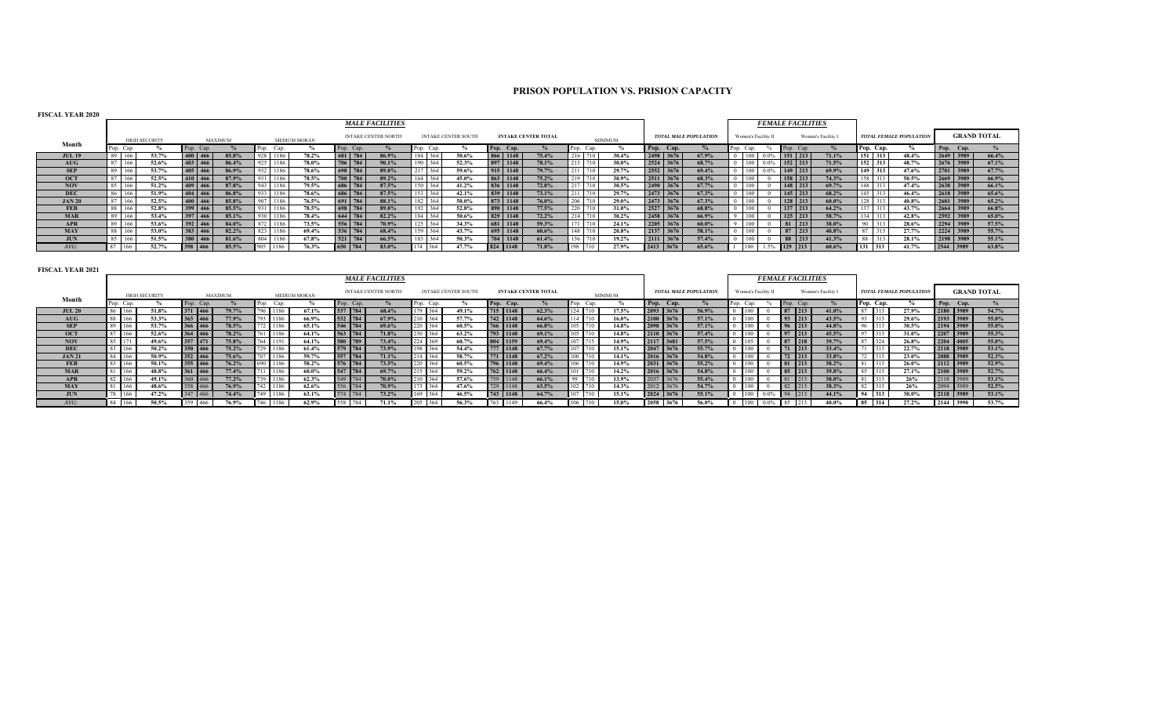# **PRISON POPULATION VS. PRISION CAPACITY**

| <b>FISCAL YEAR 2020</b> |  |
|-------------------------|--|
|                         |  |

|               |        |      |                      |                  |                |     |      |                     |           | <b>MALE FACILITIES</b>     |       |         |                            |             |                            |          |             |      |                |           |                              |      |                     | <b>FEMALE FACILITIES</b> |                    |     |           |                                |           |                    |
|---------------|--------|------|----------------------|------------------|----------------|-----|------|---------------------|-----------|----------------------------|-------|---------|----------------------------|-------------|----------------------------|----------|-------------|------|----------------|-----------|------------------------------|------|---------------------|--------------------------|--------------------|-----|-----------|--------------------------------|-----------|--------------------|
|               |        |      | <b>HIGH SECURITY</b> |                  | <b>MAXIMUM</b> |     |      | <b>MEDIUM MORAN</b> |           | <b>INTAKE CENTER NORTH</b> |       |         | <b>INTAKE CENTER SOUTH</b> |             | <b>INTAKE CENTER TOTAL</b> |          |             |      | <b>MINIMUM</b> |           | <b>TOTAL MALE POPULATION</b> |      | Women's Facility II |                          | Women's Facility I |     |           | <b>TOTAL FEMALE POPULATION</b> |           | <b>GRAND TOTAL</b> |
| Month         |        | Cap. |                      | Pop.<br>Cap.     |                |     | Cap. |                     | Pop. Cap. |                            |       | Cap.    |                            | Cap.        |                            |          |             | Cap. |                | Pop. Cap. |                              | Can. |                     | Cap.<br>Pop.             |                    |     | Pop. Cap. |                                | Pop. Cap. |                    |
| <b>JUL 19</b> | 89     | 166  | 53.7%                | 400 466          | 85.8%          |     |      | 78.2%               | 681 784   | 86.9%                      |       | 364     | 50.6%                      | 866 1148    |                            | 75.4%    | 216 710     |      | 30.4%          | 2498 3676 | 67.9%                        | 100  |                     | 151 213                  | 71.1%              |     | $151$ 313 | 48.4%                          | 2649 3989 | 66.4%              |
| AUG           | 87     | 166  | 52.6%                | 403 466          | 86.4%          |     | 1186 | 78.0%               | 706 784   | 90.1%                      |       | 190 364 | 52.3%                      | 897 1148    |                            | 78.1%    | 213 710     |      | 30.0%          | 2524 3676 | 68.7%                        | 100  |                     | $152$ 213                | 71.5%              |     | $152$ 313 | 48.7%                          | 2676 3989 | 67.1%              |
| <b>SEP</b>    | 89     |      | 53.7%                | 405 466          | 86.9%          |     | 1186 | 78.6%               | 698 784   | 89.0%                      |       | 217 364 | 59.6%                      | 915 1148    |                            | 79.7%    | $211 - 710$ |      | 29.7%          | 2552 3676 | 69.4%                        | 100  |                     | 149 213                  | 69.9%              |     | 149 313   | 47.6%                          | 2701 3989 | 67.7%              |
| <b>OCT</b>    | $07-1$ | 166  | 52.5%                | 410 466          | 87.9%          |     | 1186 | 78.5%               | 700 784   | 89.2%                      | 164 1 | 364     | 45.0%                      | 863 1148    |                            | 75.2%    | 219 710     |      | 30.9%          | 2511 3676 | 68.3%                        | 100  |                     | 158 213                  | 74.3%              | 158 |           | 50.5%                          | 2669 3989 | 66.9%              |
| <b>NOV</b>    | 85     | 100  | 51.2%                | $409 \mid 466$   | 87.8%          |     | 1186 | 79.5%               | 686 784   | 87.5%                      |       | 364     | 41.2%                      | 836 1148    |                            | 72.8%    | 217 710     |      | 30.5%          | 2490 3676 | 67.7%                        | 100  |                     | 148 213                  | 69.7%              | 148 |           | 47.4%                          | 2638 3989 | 66.1%              |
| <b>DEC</b>    |        | 160  | 51.9%                | $404$ 466        | 86.8%          |     | 1186 | 78.6%               | 686 784   | 87.5%                      |       | 364     | 42.1%                      | 839<br>1148 |                            | 73.1%    | $211 - 710$ |      | 29.7%          | 2473 3676 | 67.3%                        | 100  |                     | $145$ 213                | 68.2%              | 145 |           | 46.4%                          | 2618 3989 | $65.6\%$           |
| <b>JAN 20</b> | $\sim$ |      | 52.5%                | $400 \mid 466$   | 85.8%          | 907 | 1186 | 76.5%               | 691 784   | 88.1%                      |       |         | 50.0%                      | 873 1148    |                            | 76.0%    | 206 710     |      | 29.0%          | 2473 3676 | 67.3%                        | 100  |                     | 128 213                  | $60.0\%$           | 128 |           | 40.8%                          | 2601 3989 | 65.2%              |
| <b>FEB</b>    | 88 L   | 100  | 52.8%                | 399 466          | 85.5%          |     | 1186 | 78.5%               | 698 784   | 89.0%                      |       | 364     | 52.8%                      | 890<br>1148 |                            | 77.5%    | 220 710     |      | 31.0%          | 2527 3676 | 68.8%                        | 100  |                     | 137 213                  | 64.2%              | 137 |           | 43.7%                          | 2664 3989 | 66.8%              |
| <b>MAR</b>    | 89     |      | 53.4%                | $397$ 466        | 85.1%          |     | 1186 | 78.4%               | 644 784   | 82.2%                      |       |         | 50.6%                      | 829 1148    |                            | 72.2%    | 214 710     |      | 30.2%          | 2458 3676 | 66.9%                        | 100  |                     | $125$ 213                | 58.7%              | 134 |           | 42.8%                          | 2592 3989 | 65.0%              |
| <b>APR</b>    | 89     | 100  | 53.6%                | 392 466          | 84.0%          |     |      | 73.5%               | 556 784   | 70.9%                      |       |         | 34.3%                      | 681 1148    |                            | 59.3%    | $1 - 1$     |      | 24.1%          | 2205 3676 | $60.0\%$                     | 100  |                     | 81 213                   | 38.0%              |     |           | 28.6%                          | 2294 3989 | 57.5%              |
| <b>MAY</b>    | 88     |      | 53.0%                | 383 466          | 82.2%          |     | 1186 | 69.4%               | 536 784   | 68.4%                      |       | 364     | 43.7%                      | 695 1148    |                            | $60.6\%$ | 148 710     |      | 20.8%          | 2137 3676 | 58.1%                        | 100  |                     | $87$ 213                 | 40.8%              | 87  |           | 27.7%                          | 2224 3989 | 55.7%              |
| <b>JUN</b>    | 85     |      | 51.5%                | 380<br>466       | 81.6%          |     | 1186 | 67.8%               | 521 784   | 66.5%                      |       | 183 364 | 50.3%                      | 704 1148    |                            | 61.4%    | 136 710     |      | 19.2%          | 2111 3676 | 57.4%                        | 100  |                     | 88 213                   | 41.3%              |     |           | 28.1%                          | 2198 3989 | 55.1%              |
| $AVG$ :       |        | 166. | 52.7%                | 398<br>$-1466$ . | 85.5%          |     | 1186 | 76.3%               | 650       | 784<br>83.0%               |       | 364     | 47.7%                      | 1148        |                            | 71.8%    |             |      | 27.9%          | 2413 3676 | 65.6%                        |      |                     | 213                      | 60.6%              |     | 313       | 41.7%                          | 2544 3989 | 63.8%              |

| <b>FISCAL YEAR 2021</b> | <b>MALE FACILITIES</b><br><b>FEMALE FACILITIES</b> |                      |            |                |             |                     |           |                            |           |                            |            |                            |           |                |             |                              |                    |                     |                            |                  |                                |       |           |                    |
|-------------------------|----------------------------------------------------|----------------------|------------|----------------|-------------|---------------------|-----------|----------------------------|-----------|----------------------------|------------|----------------------------|-----------|----------------|-------------|------------------------------|--------------------|---------------------|----------------------------|------------------|--------------------------------|-------|-----------|--------------------|
|                         |                                                    |                      |            |                |             |                     |           |                            |           |                            |            |                            |           |                |             |                              |                    |                     |                            |                  |                                |       |           |                    |
| Month                   |                                                    | <b>HIGH SECURITY</b> |            | <b>MAXIMUM</b> |             | <b>MEDIUM MORAN</b> |           | <b>INTAKE CENTER NORTH</b> |           | <b>INTAKE CENTER SOUTH</b> |            | <b>INTAKE CENTER TOTAL</b> |           | <b>MINIMUM</b> |             | <b>TOTAL MALE POPULATION</b> |                    | Women's Facility II |                            | Women's Facility | <b>TOTAL FEMALE POPULATION</b> |       |           | <b>GRAND TOTAL</b> |
|                         | Pop. Cap.                                          |                      | Pop. Cap.  |                | Pop. Cap.   |                     | Pop. Cap. |                            | Pop. Cap. |                            | Pop. Cap.  |                            | Pop. Cap. |                | Pop. Cap.   |                              | Pop. Cap.          |                     | Pop. Cap.                  |                  | Pop. Cap.                      |       | Pop. Cap. |                    |
| <b>JUL 20</b>           | 166                                                | 51.8%                | 371 466    | 79.7%          | 796 1186    | 67.1%               | 537 784   | 68.4%                      | 179 364   | 49.1%                      | $715$ 1148 | 62.3%                      | 124 710   | 17.5%          | $2093$ 3676 | 56.9%                        | $\vert$ 100        |                     | $87$ 213                   | 41.0%            | 87 313                         | 27.9% | 2180 3989 | 54.7%              |
| AUG                     |                                                    | 53.3%                | 363 466    | 77.9%          | 793 1186    | 66.9%               | 532 784   | 67.9%                      | 210 364   | 57.7%                      | 742 1148   | 64.6%                      | 114 710   | 16.0%          | 2100 3676   | 57.1%                        | $\parallel$ 100    |                     | $93$ 213                   | 43.5%            | 93 313                         | 29.6% | 2193 3989 | 55.0%              |
| <b>SEP</b>              |                                                    | 53.7%                | 366 466    | 78.5%          | 772 1186    | 65.1%               | 546 784   | 69.6%                      | 220 364   | 60.5%                      | 766 1148   | 66.8%                      | 105 710   | 14.8%          | 2098 3676   | 57.1%                        | $\blacksquare$ 100 |                     | $96$ 213                   | 44.8%            | 96 313                         | 30.5% | 2194 3989 | 55.0%              |
| <b>OCT</b>              | $\sim$                                             | 52.6%                | 364 466    | 78.2%          | 761 1186    | 64.1%               | 563 784   | 71.8%                      | 230 364   | 63.2%                      | 793 1148   | 69.1%                      | 105 710   | 14.8%          | 2110 3676   | 57.4%                        | $\blacksquare$ 100 |                     | $97$ 213                   | 45.5%            | 97 313                         | 31.0% | 2207 3989 | 55.3%              |
| <b>NOV</b>              |                                                    | 49.6%                | $357$ 471  | 75.8%          | 764 1191    | 64.1%               | 580 789   | 73.4%                      | 224 369   | 60.7%                      | 804 1159   | 69.4%                      | 107 715   | 14.9%          | 2117 3681   | 57.5%                        | $\vert$ 105        |                     | $87$ 218                   | 39.7%            | 87 324                         | 26.8% | 2204 4005 | 55.0%              |
| <b>DEC</b>              |                                                    | 50.2%                | 350 466    | $75.2\%$       | 729 1186    | 61.4%               | 579 784   | 73.9%                      | 198 364   | 54.4%                      | 777 1148   | 67.7%                      | 107 710   | 15.1%          | $2047$ 3676 | 55.7%                        | 100                |                     | $\vert 71 \vert 213 \vert$ | 33.4%            |                                | 22.7% | 2118 3989 | 53.1%              |
| <b>JAN 21</b>           |                                                    | 50.9%                | $352$ 466  | 75.6%          | 707 1186    | 59.7%               | 557 784   | 71.1%                      | 214 364   | 58.7%                      | 771 1148   | 67.2%                      | 100 710   | 14.1%          | 2016 3676   | 54.8%                        | 100                |                     | $\frac{1}{2}$ 72 213       | 33.8%            | 72 313                         | 23.0% | 2088 3989 | 52.3%              |
| <b>FEB</b>              |                                                    | 50.1%                | 355 466    | 76.2%          | 690 1186    | 58.2%               | 576 784   | 73.5%                      | 220 364   | 60.5%                      | 796 1148   | 69.4%                      | 106 710   | 14.9%          | $2031$ 3676 | $55.2\%$                     | 100                |                     | $81$ 213                   | 38.2%            |                                | 26.0% | 2112 3989 | 52.9%              |
| <b>MAR</b>              |                                                    | 48.8%                | $361$ 466  | 77.4%          | 711 1186    | 60.0%               | 547 784   | 69.7%                      | 215 364   | 59.2%                      | 762 1148   | 66.4%                      | 101 710   | 14.2%          | 2016 3676   | 54.8%                        | 100                |                     | $85$ 213                   | 39.8%            | 85 313                         | 27.1% | 2100 3989 | 52.7%              |
| <b>APR</b>              |                                                    | 49.1%                | $360$ 466  | 77.2%          | 739 1186    | 62.3%               | 549 784   | 70.0%                      | 210 364   | 57.6%                      | 759 1148   | 66.1%                      | 99 710    | 13.9%          | 2037 3676   | 55.4%                        | $\parallel$ 100    |                     | $81$ 213                   | 38.0%            | 81 313                         | 26%   | 2118 3989 | $53.1\%$           |
| <b>MAY</b>              | 81<br><sup>166</sup>                               | 48.6%                | 358 466    | 76.9%          | 742 1186    | 62.6%               | 556 784   | 70.9%                      | 173 364   | 47.6%                      | 729 1148   | 63.5%                      | 102 710   | 14.3%          | 2012 3676   | 54.7%                        | $\vert$ 100        |                     | $82$ 213                   | 38.3%            | 82 313                         | 26%   | 2094 3989 | 52.5%              |
| <b>JUN</b>              | 78 166                                             | 47.2%                | 347 466    | 74.4%          | 749 1186    | 63.1%               | 574 784   | 73.2%                      | 169 364   | 46.5%                      | 743 1148   | 64.7%                      | 710       | 15.1%          | 2024 3676   | 55.1%                        | 100                | $0.0$ <sup>9</sup>  | $\sqrt{94}$<br> 213        | 44.1%            | 94 313                         | 30.0% | 2118 3989 | 53.1%              |
| $AVG$ :                 |                                                    | 50.5%                | 359<br>466 | 76.9%          | 746<br>1186 | 62.9%               | 784       | 71.1%                      | 205 364   | 56.3%                      | 1149       | 66.4%                      |           | 15.0%          | 2058 3676   | 56.0%                        | $0 \t 100$         | $0.0\%$             | $\parallel$ 85<br>213      | 40.0%            | 314                            | 27.2% | 2144 3990 | 53.7%              |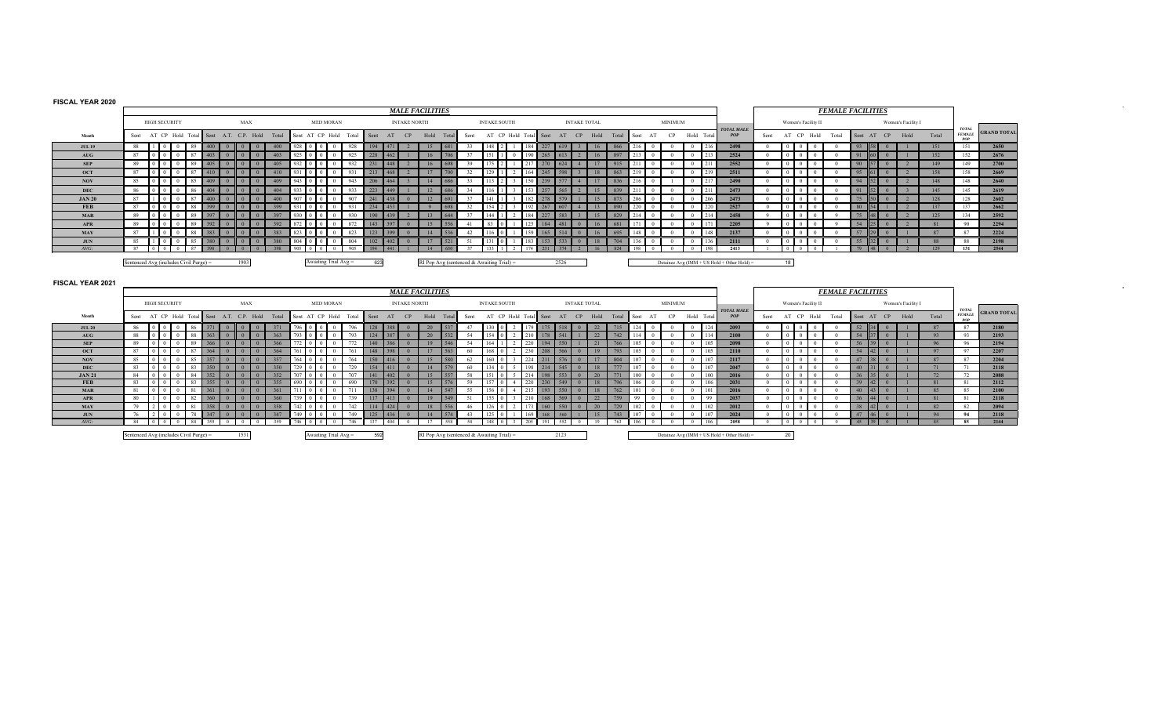## **FISCAL YEAR 2020**

**MAYJUN**

*AVG:*

|                   |                                                                       |                                       |                                                        | <b>MALE FACILITIES</b>                                                     |                                                       |                                                                             |                                                                                          |                          | <b>FEMALE FACILITIES</b>                                             |                                                            |                                      |          |                               |                    |
|-------------------|-----------------------------------------------------------------------|---------------------------------------|--------------------------------------------------------|----------------------------------------------------------------------------|-------------------------------------------------------|-----------------------------------------------------------------------------|------------------------------------------------------------------------------------------|--------------------------|----------------------------------------------------------------------|------------------------------------------------------------|--------------------------------------|----------|-------------------------------|--------------------|
|                   | <b>HIGH SECURITY</b>                                                  | MAX                                   | <b>MED MORAN</b>                                       | <b>INTAKE NORTH</b>                                                        | <b>INTAKE SOUTH</b>                                   | <b>INTAKE TOTAL</b>                                                         | <b>MINIMUM</b>                                                                           | <b>TOTAL MALE</b>        | Women's Facility II                                                  |                                                            | Women's Facility I                   |          | <b>TOTAL</b>                  |                    |
| Month             | Sent AT CP Hold Total Sent A.T. C.P. Hold Total                       |                                       | Sent AT CP Hold Total                                  | Sent AT CP<br>Hold Total                                                   | AT CP Hold Total Sent<br>Sent                         | AT CP Hold<br>Total                                                         | Sent AT<br>CP<br>Hold Total                                                              | POP                      | Sent AT CP Hold                                                      | Total                                                      | Sent AT CP Hold                      | Total    | <b>FEMALE</b><br>POP          | <b>GRAND TOTAL</b> |
| <b>JUL 19</b>     | 88   1<br>400<br>$\overline{0}$<br>-89                                | 400<br>$\Omega$                       | $928$ 0 0 0 0<br>928                                   | 194<br>$\vert$ 471<br>15<br>681                                            | 148 2<br>33                                           | 184<br>227<br>619<br>866<br>16                                              | $216$ 0<br>$\overline{0}$<br>216                                                         | 2498                     | $\overline{0}$                                                       |                                                            | 93 58                                | 151      | 151                           | 2650               |
| <b>AUG</b>        | 87<br>403                                                             | 403                                   | $925$ 0 0<br>925<br>$\theta$                           | 228<br>706                                                                 | 37<br>1511                                            | 897                                                                         | 213<br>213<br>$\sim$ 0<br>$\overline{0}$                                                 | 2524                     |                                                                      |                                                            | 91                                   | 152      | 152                           | 2676               |
| <b>SEP</b>        | 89<br> 0 <br>405<br>$\mathbf{0}$<br>-89                               |                                       | $932$ 0 0 0<br>932<br>$\theta$                         | 231<br>698                                                                 | 39<br>$175$ $\pm$                                     | 915                                                                         | 211<br>211<br>$\overline{0}$<br>$\overline{0}$                                           | 2552                     | $\theta$<br>$\overline{0}$                                           |                                                            | 90                                   | 149      | 149                           | 2700               |
| <b>OCT</b>        | 87<br>$\begin{array}{c} \n\end{array}$ 0<br>87<br>$\mathbf{0}$<br>410 |                                       | 931 0 0 0<br>$\mathbf{0}$<br>931                       | 213<br>700<br>17                                                           | 32<br>129                                             | 164<br>863<br>18                                                            | $219$ 0<br>219<br>$\overline{0}$                                                         | 2511                     | $0 \parallel 0$                                                      |                                                            | 95                                   | 158      | 158                           | 2669               |
| <b>NOV</b>        | 85<br>ll oll<br>409<br>$\mathbf{0}$<br>-85                            | 409                                   | $943$ 0 0<br>943<br>$\overline{0}$                     | 206<br>686<br>14                                                           | 33<br>113                                             | 836<br>17<br>150<br>239                                                     | 21600<br>217<br>$\overline{0}$                                                           | 2490                     | $\Omega$<br>$\Omega$<br>$\overline{0}$                               |                                                            | 94                                   | 148      | 148                           | 2640               |
| <b>DEC</b>        | 86<br>ll o<br>404                                                     | 404                                   | 933<br>$933$ 0 0 0<br>$\theta$                         | 223<br>12                                                                  | 34<br>116                                             | 153<br>257<br>15<br>839                                                     | 211<br>211<br>$\overline{0}$<br>$\overline{0}$                                           | 2473                     | $\Omega$<br>$\Omega$                                                 |                                                            | 91                                   | 145      | 145                           | 2619               |
| <b>JAN 20</b>     | 87<br>400                                                             | 400                                   | 907<br>907<br>$\Omega$                                 | 241<br>12.<br>438                                                          | 37<br>141                                             | 15<br>873<br>182                                                            | 206<br>206<br>$\theta$<br>$\overline{0}$                                                 | 2473                     |                                                                      |                                                            | 75                                   | 128      | 128                           | 2602               |
| <b>FEB</b>        | 87<br>399<br>-88                                                      | 399                                   | $931$   0   0  <br>$\overline{0}$<br>931               | 234<br>1453                                                                | 32<br>$154$   2                                       | 267<br>192<br>607<br>13<br>890                                              | $220$ 0<br>220<br>$\overline{0}$                                                         | 2527                     | $\overline{0}$                                                       |                                                            | 80                                   | 137      | 137                           | 2662               |
| <b>MAR</b>        | 89                                                                    | 397                                   | 930 0 0<br>930<br>$\theta$                             | 190<br>644                                                                 | 37<br>144                                             | 829<br>227<br>15                                                            | 214<br>214<br>$\overline{0}$<br>$\overline{0}$                                           | 2458                     |                                                                      |                                                            | 75                                   | 125      | 134                           | 2592               |
| <b>APR</b>        | 89<br>302                                                             | 392                                   | $872$ 0 0<br>872<br>$\theta$                           | 143<br>556                                                                 | 83                                                    | 125<br>184<br>481<br>681                                                    | 171<br>$\mathbf{0}$<br>171<br>$\overline{0}$                                             | 2205                     | $\theta$                                                             |                                                            | 54                                   | 81       | 90                            | 2294               |
| <b>MAY</b>        | 87<br>383<br>88                                                       | 383                                   | 823<br>$823$ 0 0 0 1<br>$\Omega$                       | 123<br>399<br>536                                                          | 42<br>$116 \,   \, 0$                                 | 159<br>165<br>514<br>695                                                    | $\overline{0}$<br>148<br>148<br>$\overline{0}$                                           | 2137                     | $\Omega$                                                             |                                                            | 57                                   | 87       | 87                            | 2224               |
| <b>JUN</b>        | 85<br>$\Omega$<br>85<br>380<br>$\overline{0}$                         | 380<br>n                              | $804$ 0 0<br>804<br>$\theta$                           | 102<br>402<br>521<br>17<br>$\Omega$                                        | 131<br>-51                                            | 183<br>$-153 -$<br>533<br>704<br>18<br>$\Omega$                             | 136<br>136<br>$\overline{0}$<br>$\overline{0}$                                           | 2111                     | $\Omega$<br>l 0                                                      |                                                            | 55                                   | 88       | 88                            | 2198               |
| $AVG$ :           | 87<br>l o<br>87                                                       | 395                                   | 905<br>905<br>0 <sup>1</sup><br>$\Omega$               | 194<br>441<br>14                                                           | 37<br>133                                             | 231<br>574<br>824                                                           | 198<br>$\Omega$                                                                          | 2413                     |                                                                      |                                                            | 79                                   | 129      | 131                           | 2544               |
|                   |                                                                       |                                       |                                                        |                                                                            |                                                       |                                                                             |                                                                                          |                          |                                                                      |                                                            |                                      |          |                               |                    |
|                   |                                                                       |                                       |                                                        |                                                                            |                                                       |                                                                             |                                                                                          |                          |                                                                      |                                                            |                                      |          |                               |                    |
|                   | Sentenced Avg (includes Civil Purge) =                                | 1903                                  | Awaiting Trial $Avg =$                                 | 623                                                                        | RI Pop Avg (sentenced & Awaiting Trial) =             | 2526                                                                        | Detainee Avg (IMM + US Hold + Other Hold) =                                              |                          | 18                                                                   |                                                            |                                      |          |                               |                    |
|                   |                                                                       |                                       |                                                        |                                                                            |                                                       |                                                                             |                                                                                          |                          |                                                                      |                                                            |                                      |          |                               |                    |
| FISCAL YEAR 2021  |                                                                       |                                       |                                                        |                                                                            |                                                       |                                                                             |                                                                                          |                          |                                                                      |                                                            |                                      |          |                               |                    |
|                   |                                                                       |                                       |                                                        | <b>MALE FACILITIES</b>                                                     |                                                       |                                                                             |                                                                                          |                          |                                                                      |                                                            | <b>FEMALE FACILITIES</b>             |          |                               |                    |
|                   | <b>HIGH SECURITY</b>                                                  | MAX                                   | <b>MED MORAN</b>                                       | <b>INTAKE NORTH</b>                                                        | <b>INTAKE SOUTH</b>                                   | <b>INTAKE TOTAL</b>                                                         | <b>MINIMUM</b>                                                                           |                          | Women's Facility II                                                  |                                                            | Women's Facility I                   |          |                               |                    |
| Month             | Sent AT CP Hold Total<br>Sent                                         | A.T. C.P. Hold<br>Total               | Sent AT CP Hold<br>Total                               | Hold<br>AT<br>CP<br>Sent<br>Total                                          | AT CP Hold Total<br>Sent                              | Hold<br>Sent<br>AT<br>CP<br>Total                                           | Hold Total<br>CP<br>AT<br>Sent                                                           | <b>TOTAL MALE</b><br>POP | AT CP Hold<br>Sent                                                   | Total                                                      | Hold<br>Sent AT CP                   | Total    | <b>TOTAL</b><br><b>FEMALE</b> | <b>GRAND TOTAL</b> |
|                   | -86                                                                   | $\mathbf{0}$<br>$\mathbf{0}$          |                                                        | $\theta$                                                                   |                                                       |                                                                             | $\Omega$                                                                                 |                          | $0$ 0 0 0                                                            |                                                            |                                      |          | POP                           |                    |
| <b>JUL 20</b>     | 86<br>371<br>88<br>ll oll<br>363<br>$\theta$<br>$\overline{0}$<br>88  | 371<br>363<br>$\theta$                | 796 0 0 0 0<br>796<br>793 0 0 0 0                      | 128 388<br>537<br>20<br>532<br>$\Omega$                                    | $130$ 0<br>47                                         | 2 179 175 518<br>22<br>715<br>$\overline{0}$                                | $124$ 0<br>124<br>$\overline{0}$<br>$\overline{0}$<br>$\mathbf{0}$                       | 2093                     | $\Omega$                                                             | $\mathbf{0}$<br>$\overline{0}$                             | $52 \quad 34 \quad 0$                | 87<br>93 | 87                            | 2180               |
| AUG<br><b>SEP</b> | 89<br>$\overline{0}$<br>89<br>366<br>$\Omega$<br>$\overline{0}$       | $\mathbf{0}$<br>366<br>$\theta$       | 793<br>$772$ 0 0<br>$\theta$                           | 124 387<br>20<br>$140$ 386<br>546<br>19<br>$\Omega$                        | 54<br>$154$ 0<br>$2 \parallel 210$<br>164<br>$\gamma$ | 22<br>541<br>742<br>178<br>220<br>194<br>550<br>21<br>766                   | 114<br>114<br>105<br>$\mathbf{0}$<br>105<br>$\overline{0}$<br>$\Omega$                   | 2100                     | $0 \quad 0 \quad 0$<br>$\theta$<br>$\Omega$                          | $0 \quad 0$<br>$\theta$                                    | $54$ 37 0<br>$56$ 39<br>$\mathbf{0}$ | 96       | 93<br>96                      | 2193               |
| <b>OCT</b>        | 87<br>87<br>364<br>$\Omega$<br>$\overline{0}$                         | 364<br>$\theta$<br>$\Omega$           | 772<br>$761$ 0 0<br>761<br>$\theta$                    | 148 398<br>17<br>563<br>$\Omega$                                           | 54<br>60<br>$168$ 0                                   | 230<br>208<br>566<br>19<br>793<br>$\Omega$                                  | 105<br>$\mathbf{0}$<br>105<br>$\overline{0}$                                             | 2098<br>2110             | $\Delta$<br>$\Omega$<br>$\sim$ 0                                     | $\Omega$<br>$\Omega$                                       | $54 \mid 42 \mid$<br>$\mathbf{0}$    | 97       | 97                            | 2194<br>2207       |
| <b>NOV</b>        | 85<br>357<br>85<br>$\Omega$<br>$\overline{0}$                         | 357<br>$\mathbf{0}$                   | $764$ 0 0<br>764<br>$\theta$                           | $150$ 416<br>15<br>580<br>$\Omega$                                         | 62<br>$160\quad0$                                     | 224<br>17<br>804<br>211<br>576<br>$\Omega$                                  | 107<br>$\overline{0}$<br>107<br>$\overline{0}$                                           | 2117                     | $\Omega$<br>$\Omega$<br>$\overline{0}$                               | $\overline{0}$                                             | $47$ 38<br>$\mathbf{0}$              | 87       | 87                            | 2204               |
| <b>DEC</b>        | 83<br>350<br>0 <sup>1</sup><br>$\mathbf{0}$<br>83                     | 350<br>$\mathbf{0}$<br>$\mathbf{0}$   | $729$ 0 0<br>729<br>$\theta$                           | $154$ 411<br>14<br>579<br>$\theta$                                         | - 60<br>$134 \ 0$                                     | 777<br>198<br>214<br>545<br>18<br>$\mathbf{0}$                              | 107<br>107<br>$\overline{0}$<br>$\mathbf{0}$                                             | 2047                     | $\Omega$<br>$\Omega$                                                 | $\begin{array}{cc} 0 & 0 \\ 0 & 0 \end{array}$<br>$\theta$ | $40 \quad  31  \quad 0$              | 71       | 71                            | 2118               |
| <b>JAN 21</b>     | 84<br>352<br>$\Omega$<br>$\overline{0}$<br>84                         | 352<br>$\Omega$                       | 707 0 0<br>707<br>$\theta$                             | $141$ 402<br>15<br>557<br>$\Omega$                                         | 58<br>1510                                            | 214<br>553<br>20<br>771<br>198<br>$\Omega$                                  | 100<br>$\overline{0}$<br>100<br>$\overline{0}$                                           | 2016                     | $\Omega$<br>$\Omega$<br>$\overline{0}$                               | $\overline{0}$                                             | $36 \, 35$<br>$\mathbf{0}$           | 72       | 72                            | 2088               |
| <b>FEB</b>        | 355<br>83<br>83<br>$\Omega$<br>$\overline{0}$                         | 355<br>$\mathbf{0}$                   | 690<br>$690$ 0 0<br>$\overline{0}$                     | 170 392<br>15<br>576<br>$\overline{0}$                                     | 59<br>$157$ 0<br>$\overline{4}$                       | 220<br>230<br>549<br>18<br>796<br>$\mathbf{0}$                              | 106<br>$\overline{0}$<br>106<br>$\overline{0}$                                           | 2031                     | $\theta$<br>$\Omega$<br>$\Omega$                                     | $\overline{0}$<br>$\theta$                                 | $39$ 42<br>$\mathbf{0}$              | 81       | 81                            | 2112               |
| <b>MAR</b>        | 361<br>81<br>$\Omega$<br>$\theta$<br>81                               | $\theta$<br>361                       | 0 <sup>1</sup><br>$\overline{0}$<br>711<br>711         | $138$ 394<br>14<br>547<br>$\theta$                                         | 55<br>$156 \t 0$                                      | 215<br>193<br>550<br>18<br>762<br>$\Omega$                                  | 101<br>$\overline{0}$<br>101<br>$\Omega$                                                 | 2016                     | $\Omega$<br>$\Omega$<br>0 <sup>1</sup>                               | $\theta$<br>$\Omega$                                       | $40 \mid 43 \mid$                    | 85       | 85                            | 2100               |
| <b>APR</b>        | 80<br>360<br>$\mathbf{0}$<br>82<br>$2 \quad 0 \quad 0$<br>79<br>81    | 360<br>$\Omega$<br>$358$ 0 0 0<br>358 | 739<br>739<br>$\theta$<br>$\theta$<br>742 0 0 0<br>742 | $117$ 413<br>19<br>549<br>$\theta$<br>114 424<br>556<br>18<br>$\mathbf{0}$ | 51<br>155.<br>46<br>126<br>$2-1$                      | 210<br>168<br>569<br>22<br>759<br>550<br>$173$ 160<br>20<br>729<br>$\sim 0$ | 99<br>$\overline{0}$<br>99<br>$\Omega$<br>102<br>102<br>$\overline{0}$<br>$\overline{0}$ | 2037<br>2012             | $\Omega$<br>$\Omega$<br>$\overline{0}$<br>$\Omega$<br>$\overline{0}$ | $\mathbf{0}$                                               | 36<br>38 42                          | 81<br>82 | 81<br>82                      | 2118<br>2094       |

N 1920 1920 1934 1947 1940 1940 1940 1940 1940 1950 1960 144 145 1461 1461 1461 1461 1461 1462 1460 147 1460 1<br>22 14 10 10 18 14 159 10 10 159 1746 10 10 10 146 137 1404 10 17 558 54 148 10 15 10 15 152 16 10 10 10 10 10

Sentenced Avg (includes Civil Purge) = 1531

Sentenced Avg (includes Civil Purge) = 1531 Awaiting Trial Avg = 592 RI Pop Avg (sentenced & Awaiting Trial) = 2123 Detainee Avg (IMM + US Hold + Other Hold) = 20

 $\alpha$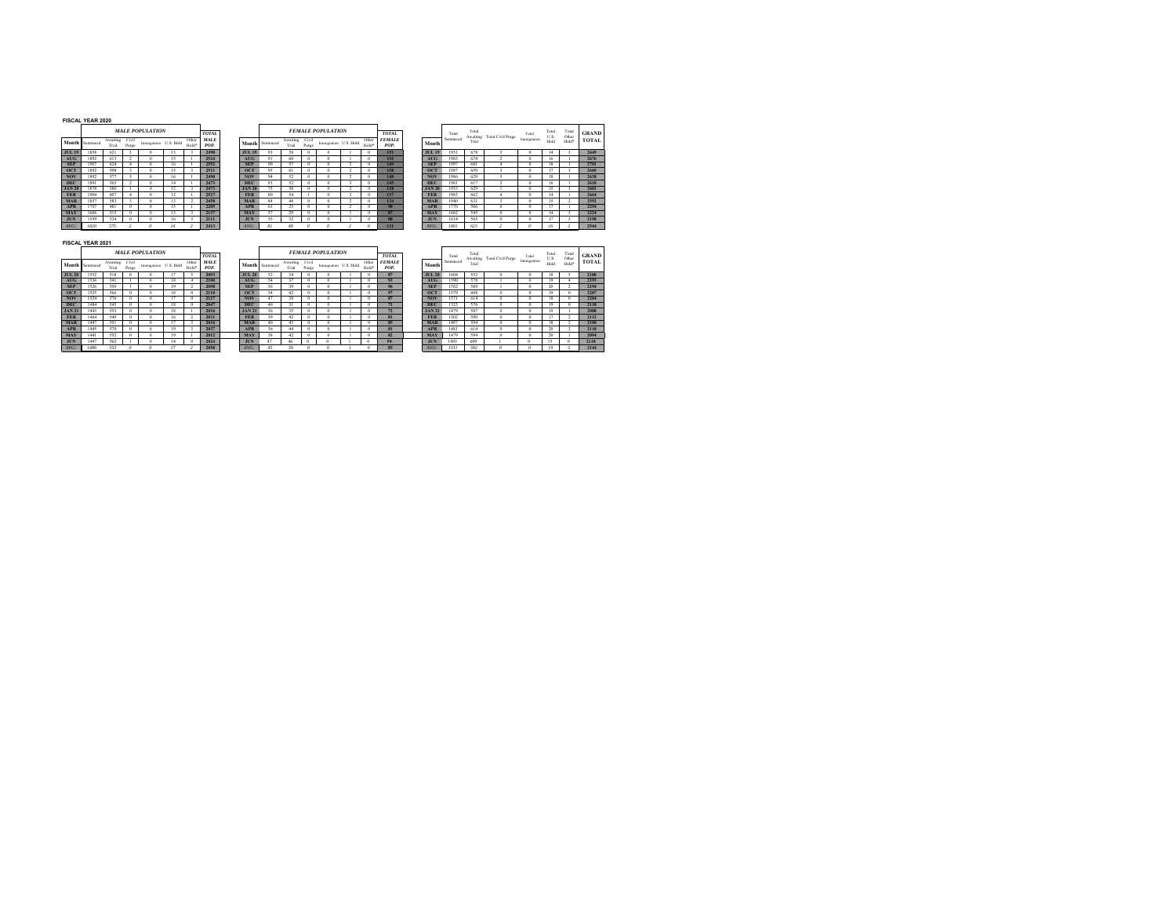#### **FISCAL YEAR 2020**

**JUL 19AUGOCTNOVDECJAN 20APRMAYJUN***AVG: 1820 575 2 0 14 2* $\emph{MLE POPULATION}$ **Month**waiting Civil<br>Trial Proces **Immigration** U.S. Hold  $\frac{Ot}{H_0}$ *POP.*

|            | <b>TOTAL</b>        |               |           |                   |                | <b>FEMALE POPULATION</b> |                |        |
|------------|---------------------|---------------|-----------|-------------------|----------------|--------------------------|----------------|--------|
| ber<br>Id* | <b>MALE</b><br>POP. | Month         | Sentenced | Awaiting<br>Trial | Civil<br>Purge | Immigration              | U.S. Hold      | O<br>Н |
|            | 2498                | <b>JUL 19</b> | 93        | 58                | $\bf{0}$       | $\Omega$                 |                |        |
|            | 2524                | <b>AUG</b>    | 91        | 60                | $\Omega$       | $\Omega$                 |                |        |
|            | 2552                | <b>SEP</b>    | 90        | 57                | $\Omega$       | $\Omega$                 | $\mathfrak{p}$ |        |
|            | 2511                | <b>OCT</b>    | 95        | 61                | $\theta$       | $\Omega$                 | $\overline{a}$ |        |
|            | 2490                | <b>NOV</b>    | 94        | 52                | $\theta$       | $\Omega$                 | 2              |        |
|            | 2473                | <b>DEC</b>    | 91        | 52                | $\Omega$       | $\Omega$                 | ٩              |        |
|            | 2473                | <b>JAN 20</b> | 75        | 50                | $\Omega$       | $\Omega$                 | $\mathfrak{p}$ |        |
|            | 2527                | <b>FFR</b>    | 80        | 54                | ١              | $\theta$                 | $\overline{a}$ |        |
|            | 2458                | <b>MAR</b>    | 84        | 48                | $\theta$       | $\Omega$                 | $\overline{a}$ |        |
|            | 2205                | <b>APR</b>    | 63        | 25                | $\Omega$       | $\Omega$                 | 2              |        |
|            | 2137                | <b>MAY</b>    | 57        | 29                | $\Omega$       | $\Omega$                 |                |        |
|            | 2111                | <b>JUN</b>    | 55        | 32                | $\Omega$       | $\theta$                 |                |        |
|            | 2413                | $AVG$ :       | 81        | 48                | $\theta$       | $\Omega$                 | ٠              |        |
|            |                     |               |           |                   |                |                          |                |        |

|    | ANL I LAN AVAV |          |       |                        |                       |                   |                             |               |                 |            |       |                          |                       |       |                               |               |                    |                            |                   |                      |                       |                         |                              |
|----|----------------|----------|-------|------------------------|-----------------------|-------------------|-----------------------------|---------------|-----------------|------------|-------|--------------------------|-----------------------|-------|-------------------------------|---------------|--------------------|----------------------------|-------------------|----------------------|-----------------------|-------------------------|------------------------------|
|    | ath Sentenced  | Awaiting | Civil | <b>MALE POPULATION</b> |                       | Other             | <b>TOTAL</b><br><b>MALE</b> |               | Month Sentenced | Awaiting   | Civil | <b>FEMALE POPULATION</b> | Immigration U.S. Hold | Other | <b>TOTAL</b><br><b>FEMALE</b> | Month         | Total<br>Sentenced | Total<br>Awaiting<br>Trial | Total Civil Purge | Total<br>Immieration | Total<br>U.S.<br>Hold | Total<br>Other<br>Hold* | <b>GRAND</b><br><b>TOTAL</b> |
|    |                | Trial    | Purge |                        | Immigration U.S. Hold | Hold <sup>*</sup> | POP.                        |               |                 | Trial      | Purec |                          |                       | Hold* | POP.                          |               |                    |                            |                   |                      |                       |                         |                              |
| 19 | 1858           | 621      |       | 0                      | 13                    |                   | 2498                        | <b>JUL 19</b> | 93              | 58         | 0     |                          |                       |       | 151                           | <b>JUL 19</b> | 1951               | 678                        |                   |                      | 14                    |                         | 2649                         |
|    | 1892           | 613      |       |                        |                       |                   | 2524                        | <b>AUG</b>    | 91              | 60         |       |                          |                       |       | 152                           | AUG           | 1983               | 674                        |                   |                      | 16                    |                         | 2676                         |
|    | 1907           | 624      |       | 0                      | 16                    |                   | 2552                        | <b>SEP</b>    | 90              |            |       |                          |                       |       | 149                           | <b>SEP</b>    | 1997               | 681                        |                   |                      | 18                    |                         | 2701                         |
|    | 1892           | 598      |       | 0.                     | 15                    |                   | 2511                        | <b>OCT</b>    | 95              | $^{\circ}$ | ۰     |                          |                       |       | 158                           | <b>OCT</b>    | 1987               | 659                        |                   |                      |                       |                         | 2669                         |
|    | 1892           | 577      |       | n                      | 16                    |                   | 2490                        | <b>NOV</b>    | 94              | 52         |       |                          |                       |       | 148                           | <b>NOV</b>    | 1986               | 629                        |                   |                      | 18                    |                         | 2638                         |
|    | 189            | 565      |       | n                      |                       |                   | 2473                        | <b>DEC</b>    | 91              | 52         |       |                          |                       |       | 145                           | <b>DEC</b>    | 1981               | 617                        |                   |                      | 16                    |                         | 2618                         |
| 20 | 1878           | 580      |       | 0                      | 1.0                   |                   | 2473                        | <b>JAN 20</b> | 75              | 50         |       |                          |                       |       | 128                           | <b>JAN 20</b> | 1953               | 629                        |                   |                      | 15                    |                         | 2601                         |
|    | 1904           | 607      |       | 0                      |                       |                   | 2527                        | <b>FEB</b>    | 80              |            |       |                          |                       |       | 137                           | <b>FEB</b>    | 1983               | 662                        |                   |                      | 14                    |                         | 2664                         |
|    | 1857           | 583      |       | o                      | 13.                   |                   | 2458                        | <b>MAR</b>    | 84              |            |       |                          |                       |       | 134                           | <b>MAR</b>    | 1940               | 631                        |                   |                      | 15                    |                         | 2592                         |
|    | 1707           | 481      |       | 0                      | 15                    |                   | 2205                        | <b>APR</b>    | 63              | 25         |       |                          |                       |       |                               | <b>APR</b>    | 1770               | 506                        |                   |                      |                       |                         | 2294                         |
|    | 1606           | 515      |       | o                      |                       |                   | 2137                        | <b>MAY</b>    | 57              | 29         |       |                          |                       |       | 87                            | <b>MAY</b>    | 1662               | 545                        |                   |                      | 14                    |                         | 2224                         |
|    | 1559           | 534      |       | 0                      | 16                    |                   | 2111                        | <b>JUN</b>    | 55              | 32         | o     |                          |                       |       | 88                            | <b>JUN</b>    | 1614               | 565                        |                   |                      | 17                    |                         | 2198                         |
|    | 1820           | 575      |       |                        |                       |                   | 2413                        | $AVG$ :       |                 | 48         |       |                          |                       |       | 131                           | $AVG$ :       | 1901               | 623                        |                   |                      | 16                    |                         | 2544                         |
|    |                |          |       |                        |                       |                   |                             |               |                 |            |       |                          |                       |       |                               |               |                    |                            |                   |                      |                       |                         |                              |

#### **FISCAL YEAR 2021**

|               |           |                   |                | <b>MALE POPULATION</b> |           |                | <b>TOTAL</b>        |               |           |                   |                | <b>FEMALE POPULATION</b> |  |
|---------------|-----------|-------------------|----------------|------------------------|-----------|----------------|---------------------|---------------|-----------|-------------------|----------------|--------------------------|--|
| Month         | Sentenced | Awaiting<br>Trial | Civil<br>Purge | Immigration            | U.S. Hold | Other<br>Hold* | <b>MALE</b><br>POP. | Month         | Sentenced | Awaiting<br>Trial | Civil<br>Purge | Immigration U.           |  |
| <b>JUL 20</b> | 1552      | 518               | $\bf{0}$       | $\Omega$               |           | 5              | 2093                | <b>JUL 20</b> | 52        | 34                | $\bf{0}$       | $\bf{0}$                 |  |
| <b>AUG</b>    | 1536      | 541               |                | $\Omega$               | 18        | 4              | 2100                | <b>AUG</b>    | 54        | 37                | $\bf{0}$       | $\bf{0}$                 |  |
| <b>SEP</b>    | 1526      | 550               |                | $\Omega$               | 19        |                | 2098                | <b>SEP</b>    | 56        | 39                | $\Omega$       | $\Omega$                 |  |
| <b>OCT</b>    | 1525      | 566               | $\Omega$       | $\Omega$               | 18        | $\Omega$       | 2110                | OCT           | 54        | 42                | $\Omega$       | $\Omega$                 |  |
| <b>NOV</b>    | 1524      | 576               | $\Omega$       | $\Omega$               | 17        | $\Omega$       | 2117                | <b>NOV</b>    | 47        | 38                | $\bf{0}$       | $\bf{0}$                 |  |
| <b>DEC</b>    | 1484      | 545               | $\Omega$       | $\Omega$               | 18        | $\Omega$       | 2047                | <b>DEC</b>    | 40        | 31                | $\bf{0}$       | $\bf{0}$                 |  |
| <b>JAN 21</b> | 1443      | 553               | $\Omega$       | $\Omega$               | 18        |                | 2016                | <b>JAN 21</b> | 36        | 35                | $\bf{0}$       | $\Omega$                 |  |
| <b>FEB</b>    | 1464      | 549               | $\Omega$       | $\Omega$               | 16        | $\overline{2}$ | 2031                | <b>FEB</b>    | 39        | 42                | $\bf{0}$       | $\bf{0}$                 |  |
| <b>MAR</b>    | 1447      | 551               | $\bf{0}$       | $\Omega$               | 17        | ۰              | 2016                | <b>MAR</b>    | 40        | 43                | $\Omega$       | $\Omega$                 |  |
| <b>APR</b>    | 1445      | 570               | $\bf{0}$       | $\Omega$               | 19        | ٦              | 2037                | <b>APR</b>    | 36        | 44                | $\bf{0}$       | $\bf{0}$                 |  |
| <b>MAY</b>    | 1441      | 552               | $\Omega$       | $\Omega$               | 19        |                | 2012                | <b>MAY</b>    | 38        | 42                | $\Omega$       | $\Omega$                 |  |
| <b>JUN</b>    | 1447      | 562               |                | $\theta$               | 14        | $\Omega$       | 2024                | <b>JUN</b>    | 47        | 46                | 0              | $\bf{0}$                 |  |
| $AVG$ :       | 1486      | 553               | $\theta$       | $\Omega$               | 17        | ,              | 2058                | $AVG$ :       | 45        | 39                | $\theta$       | $\theta$                 |  |

|    |               |                   |                | <b>MALE POPULATION</b> |    |                | <b>TOTAL</b>        |               |                 |                   |                | <b>FEMALE POPULATION</b> |                | <b>TOTAL</b>          |               | Total     | Total | Awaiting Total Civil Purge | Total       | Total<br>U.S. | Total<br>Other | <b>GRAN</b> |
|----|---------------|-------------------|----------------|------------------------|----|----------------|---------------------|---------------|-----------------|-------------------|----------------|--------------------------|----------------|-----------------------|---------------|-----------|-------|----------------------------|-------------|---------------|----------------|-------------|
|    | ath Sentenced | Awaiting<br>Trial | Civil<br>Purge | Immigration U.S. Hold  |    | Other<br>Hold* | <b>MALE</b><br>POP. |               | Month Sentenced | Awaiting<br>Trial | Civil<br>Purge | Immigration U.S. Hold    | Other<br>Hold* | <b>FEMALE</b><br>POP. | Month         | Sentenced | Trial |                            | Immieration | Hold          | Hold*          | TOTA        |
| 20 | 1552          | 518               |                |                        |    |                | 2093                | <b>JUL 20</b> |                 |                   |                |                          | 0              | 87                    | <b>JUL 20</b> | 1604      | 552   |                            |             | 18            |                | 2180        |
|    | 1536          | 541               |                |                        | 18 |                | 2100                | <b>AUG</b>    | 54              | 37                |                |                          | 0              | 93                    | AUG           | 1590      | 578   |                            |             | 19            |                | 2193        |
|    | 1526          | 550               |                | $\Omega$               | 19 |                | 2098                | <b>SEP</b>    | 56              | 39                |                |                          | $\Omega$       | 96                    | <b>SEP</b>    | 1582      | 589   |                            |             | 20            |                | 2194        |
|    | 1525          | 566               |                | o                      | 18 |                | 2110                | 0C            | 54              |                   |                |                          | $\bf{0}$       | 97                    | <b>OCT</b>    | 1579      | 608   |                            | $\Omega$    | 19            |                | 2207        |
|    | 1524          | 576               |                | o                      |    |                | 2117                | <b>NOV</b>    | 47              | 38                |                |                          | 0              | 87                    | <b>NOV</b>    | 1571      | 614   |                            | n           | 18            |                | 2204        |
|    | 1484          | 545               |                |                        | 18 |                | 2047                | <b>DEC</b>    | 40              |                   |                |                          | 0              | 71                    | <b>DEC</b>    | 1523      | 576   |                            |             | 19            |                | 2118        |
| 21 | 1443          | 553               |                |                        |    |                | 2016                | <b>JAN 21</b> | 36              | 35                |                |                          | 0              | 72                    | <b>JAN21</b>  | 1479      | 587   |                            |             | 19            |                | 2088        |
|    | 1464          | 549               |                |                        | 16 |                | 2031                | <b>FEB</b>    | 39              |                   |                |                          | 0              | 81                    | <b>FEB</b>    | 1502      | 590   |                            |             |               |                | 2112        |
|    | 1447          | 551               |                |                        |    |                | 2016                | <b>MAR</b>    | 40              | 43                |                |                          | 0              | 85                    | <b>MAR</b>    | 1487      | 594   |                            |             | 18            |                | 2100        |
|    | 1445          | 570               |                | $\cdots$               | 19 |                | 2037                | <b>APR</b>    | 36              | 44                |                |                          | $\mathbf{0}$   | 81                    | <b>APR</b>    | 1481      | 614   |                            | n           | 20            |                | 2118        |
|    | 1441          | 552               |                | o                      | 19 |                | 2012                | <b>MAY</b>    | 38              | 42                |                |                          | $\Omega$       | 82                    | <b>MAY</b>    | 1479      | 594   |                            | $\Omega$    | 20            |                | 2094        |
|    | 1447          | 562               |                | $\cdots$               |    |                | 2024                | <b>JHN</b>    | 47              | 46                |                |                          |                | 94                    | JUN           | 1493      | 609   |                            | o           | 15            |                | 2118        |
|    | 1486          | 553               |                |                        | 17 |                | 2058                | $AVG$ :       |                 |                   |                |                          |                | 85                    | $AVG$ :       | 1531      | 592   |                            |             |               |                | 2144        |

|                        | Total     | Total<br>Awaiting | <b>Total Civil Purge</b> | Total       | Total<br>U.S. | Total<br>Other | <b>GRAND</b> |
|------------------------|-----------|-------------------|--------------------------|-------------|---------------|----------------|--------------|
| lonth                  | Sentenced | Trial             |                          | Immieration | Hold          | Hold*          | <b>TOTAL</b> |
| IL 20                  | 1604      | 552               | $\Omega$                 | $\Omega$    | 18            | 5              | 2180         |
| WG                     | 1590      | 578               |                          | $\Omega$    | 19            | $\Delta$       | 2193         |
| $\overline{\text{FP}}$ | 1582      | 589               |                          | $\Omega$    | 20            | 2              | 2194         |
| XТ                     | 1579      | 608               | $\Omega$                 | $\Omega$    | 19            | $\Omega$       | 2207         |
| <b>VOV</b>             | 1571      | 614               | $\Omega$                 | $\Omega$    | 18            | $\Omega$       | 2204         |
| <b>DEC</b>             | 1523      | 576               | $\Omega$                 | $\Omega$    | 19            | $\Omega$       | 2118         |
| N <sub>21</sub>        | 1479      | 587               | $\Omega$                 | $\Omega$    | 19            |                | 2088         |
| FEB                    | 1502      | 590               | $\Omega$                 | $\Omega$    | 17            | $\mathfrak{p}$ | 2112         |
| <b>IAR</b>             | 1487      | 594               | $\Omega$                 | $\Omega$    | 18            | $\overline{a}$ | 2100         |
| <b>APR</b>             | 1481      | 614               | $\Omega$                 | $\Omega$    | 20            | 3              | 2118         |
| <b>JAY</b>             | 1479      | 594               | $\Omega$                 | $\bf{0}$    | 20            |                | 2094         |
| <b>TIN</b>             | 1493      | 609               |                          | $\Omega$    | 15            | o              | 2118         |